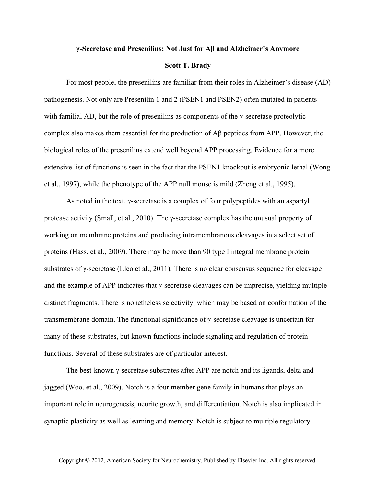## **γ-Secretase and Presenilins: Not Just for Aβ and Alzheimer's Anymore**

## **Scott T. Brady**

For most people, the presenilins are familiar from their roles in Alzheimer's disease (AD) pathogenesis. Not only are Presenilin 1 and 2 (PSEN1 and PSEN2) often mutated in patients with familial AD, but the role of presenilins as components of the  $\gamma$ -secretase proteolytic complex also makes them essential for the production of  $\mathbf{A}\beta$  peptides from APP. However, the biological roles of the presenilins extend well beyond APP processing. Evidence for a more extensive list of functions is seen in the fact that the PSEN1 knockout is embryonic lethal (Wong et al., 1997), while the phenotype of the APP null mouse is mild (Zheng et al., 1995).

As noted in the text, γ-secretase is a complex of four polypeptides with an aspartyl protease activity (Small, et al., 2010). The γ-secretase complex has the unusual property of working on membrane proteins and producing intramembranous cleavages in a select set of proteins (Hass, et al., 2009). There may be more than 90 type I integral membrane protein substrates of γ-secretase (Lleo et al., 2011). There is no clear consensus sequence for cleavage and the example of APP indicates that  $\gamma$ -secretase cleavages can be imprecise, yielding multiple distinct fragments. There is nonetheless selectivity, which may be based on conformation of the transmembrane domain. The functional significance of γ-secretase cleavage is uncertain for many of these substrates, but known functions include signaling and regulation of protein functions. Several of these substrates are of particular interest.

The best-known γ-secretase substrates after APP are notch and its ligands, delta and jagged (Woo, et al., 2009). Notch is a four member gene family in humans that plays an important role in neurogenesis, neurite growth, and differentiation. Notch is also implicated in synaptic plasticity as well as learning and memory. Notch is subject to multiple regulatory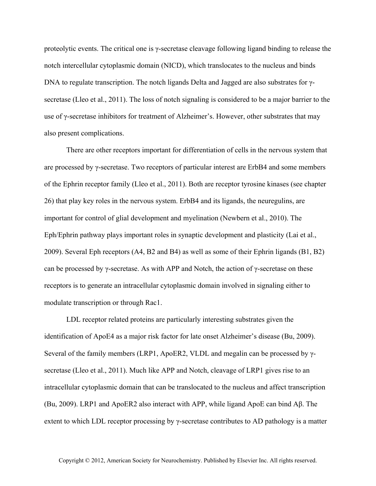proteolytic events. The critical one is γ-secretase cleavage following ligand binding to release the notch intercellular cytoplasmic domain (NICD), which translocates to the nucleus and binds DNA to regulate transcription. The notch ligands Delta and Jagged are also substrates for γsecretase (Lleo et al., 2011). The loss of notch signaling is considered to be a major barrier to the use of γ-secretase inhibitors for treatment of Alzheimer's. However, other substrates that may also present complications.

There are other receptors important for differentiation of cells in the nervous system that are processed by γ-secretase. Two receptors of particular interest are ErbB4 and some members of the Ephrin receptor family (Lleo et al., 2011). Both are receptor tyrosine kinases (see chapter 26) that play key roles in the nervous system. ErbB4 and its ligands, the neuregulins, are important for control of glial development and myelination (Newbern et al., 2010). The Eph/Ephrin pathway plays important roles in synaptic development and plasticity (Lai et al., 2009). Several Eph receptors (A4, B2 and B4) as well as some of their Ephrin ligands (B1, B2) can be processed by  $\gamma$ -secretase. As with APP and Notch, the action of  $\gamma$ -secretase on these receptors is to generate an intracellular cytoplasmic domain involved in signaling either to modulate transcription or through Rac1.

LDL receptor related proteins are particularly interesting substrates given the identification of ApoE4 as a major risk factor for late onset Alzheimer's disease (Bu, 2009). Several of the family members (LRP1, ApoER2, VLDL and megalin can be processed by γsecretase (Lleo et al., 2011). Much like APP and Notch, cleavage of LRP1 gives rise to an intracellular cytoplasmic domain that can be translocated to the nucleus and affect transcription (Bu, 2009). LRP1 and ApoER2 also interact with APP, while ligand ApoE can bind Aβ. The extent to which LDL receptor processing by  $\gamma$ -secretase contributes to AD pathology is a matter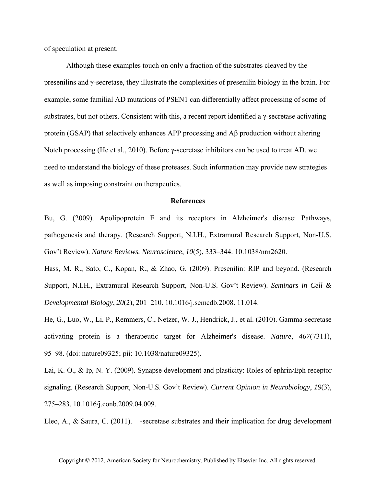of speculation at present.

Although these examples touch on only a fraction of the substrates cleaved by the presenilins and γ-secretase, they illustrate the complexities of presenilin biology in the brain. For example, some familial AD mutations of PSEN1 can differentially affect processing of some of substrates, but not others. Consistent with this, a recent report identified a γ-secretase activating protein (GSAP) that selectively enhances APP processing and Aβ production without altering Notch processing (He et al., 2010). Before γ-secretase inhibitors can be used to treat AD, we need to understand the biology of these proteases. Such information may provide new strategies as well as imposing constraint on therapeutics.

## **References**

Bu, G. (2009). Apolipoprotein E and its receptors in Alzheimer's disease: Pathways, pathogenesis and therapy. (Research Support, N.I.H., Extramural Research Support, Non-U.S. Gov't Review). *Nature Reviews. Neuroscience*, *10*(5), 333–344. 10.1038*/*nrn2620.

Hass, M. R., Sato, C., Kopan, R., & Zhao, G. (2009). Presenilin: RIP and beyond. (Research Support, N.I.H., Extramural Research Support, Non-U.S. Gov't Review). *Seminars in Cell & Developmental Biology*, *20*(2), 201–210. 10.1016/j.semcdb.2008. 11.014.

He, G., Luo, W., Li, P., Remmers, C., Netzer, W. J., Hendrick, J., et al. (2010). Gamma-secretase activating protein is a therapeutic target for Alzheimer's disease. *Nature*, *467*(7311), 95–98. (doi: nature09325; pii: 10.1038/nature09325).

Lai, K. O., & Ip, N. Y. (2009). Synapse development and plasticity: Roles of ephrin*/*Eph receptor signaling. (Research Support, Non-U.S. Gov't Review). *Current Opinion in Neurobiology*, *19*(3), 275–283. 10.1016/j.conb.2009.04.009.

Lleo, A., & Saura, C. (2011). - secretase substrates and their implication for drug development